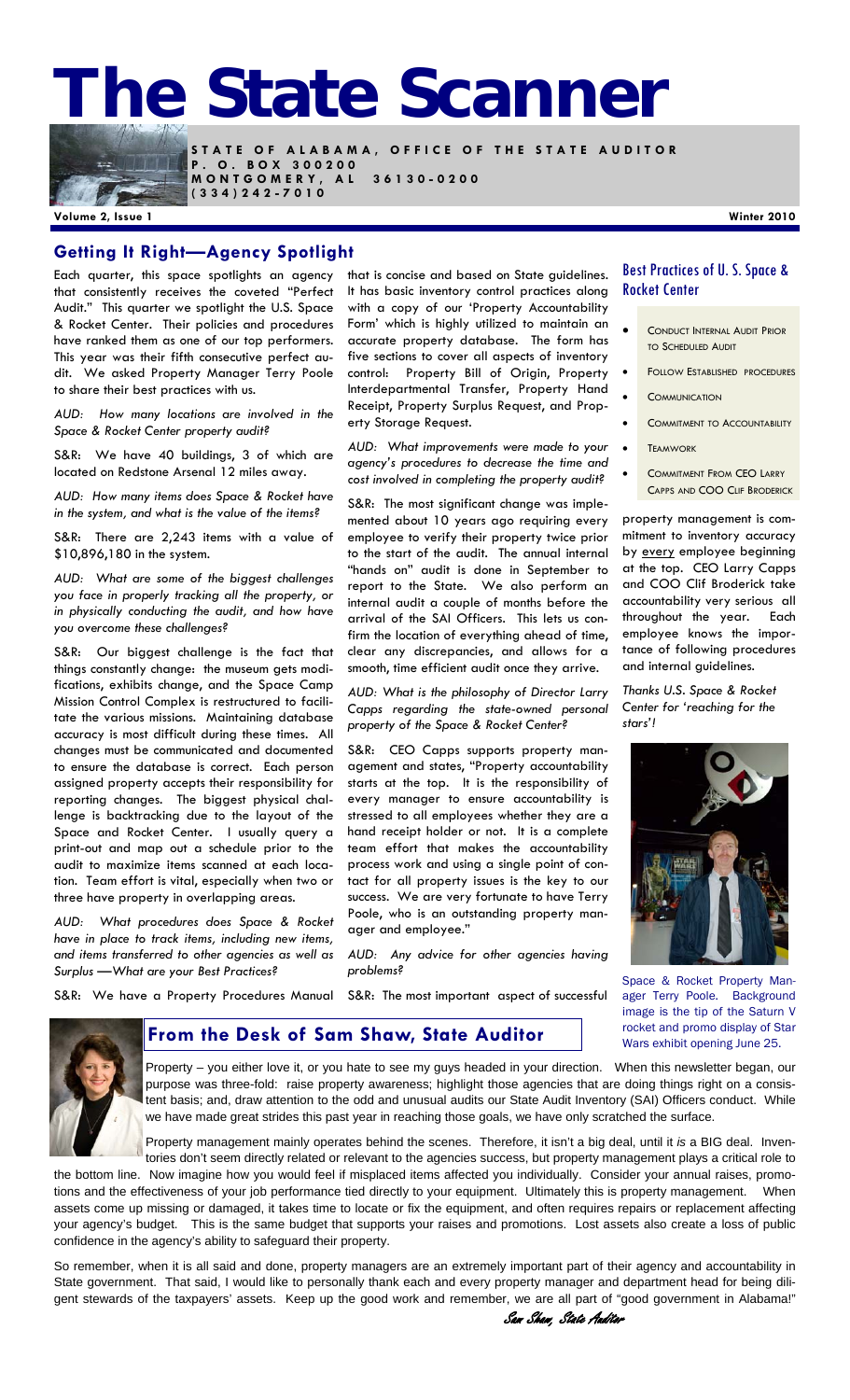# **The State Scanner**



**STATE OF ALABAMA, OFFICE OF THE STATE AUDITOR P . O . B O X 3 0 0 2 0 0 MONTGOMERY, AL 36130-0200 (334)242-7010** 

**Volume 2, Issue 1 Winter 2010** 

#### **Getting It Right—Agency Spotlight**

Each quarter, this space spotlights an agency that consistently receives the coveted "Perfect Audit." This quarter we spotlight the U.S. Space & Rocket Center. Their policies and procedures have ranked them as one of our top performers. This year was their fifth consecutive perfect audit. We asked Property Manager Terry Poole to share their best practices with us.

*AUD: How many locations are involved in the Space & Rocket Center property audit?* 

S&R: We have 40 buildings, 3 of which are located on Redstone Arsenal 12 miles away.

*AUD: How many items does Space & Rocket have in the system, and what is the value of the items?* 

S&R: There are 2,243 items with a value of \$10,896,180 in the system.

*AUD: What are some of the biggest challenges you face in properly tracking all the property, or in physically conducting the audit, and how have you overcome these challenges?* 

S&R: Our biggest challenge is the fact that things constantly change: the museum gets modifications, exhibits change, and the Space Camp Mission Control Complex is restructured to facilitate the various missions. Maintaining database accuracy is most difficult during these times. All changes must be communicated and documented to ensure the database is correct. Each person assigned property accepts their responsibility for reporting changes. The biggest physical challenge is backtracking due to the layout of the Space and Rocket Center. I usually query a print-out and map out a schedule prior to the audit to maximize items scanned at each location. Team effort is vital, especially when two or three have property in overlapping areas.

*AUD: What procedures does Space & Rocket have in place to track items, including new items, and items transferred to other agencies as well as Surplus —What are your Best Practices?* 

that is concise and based on State guidelines. It has basic inventory control practices along with a copy of our 'Property Accountability Form' which is highly utilized to maintain an accurate property database. The form has five sections to cover all aspects of inventory control: Property Bill of Origin, Property Interdepartmental Transfer, Property Hand Receipt, Property Surplus Request, and Property Storage Request.

*AUD: What improvements were made to your agency's procedures to decrease the time and cost involved in completing the property audit?* 

S&R: The most significant change was implemented about 10 years ago requiring every employee to verify their property twice prior to the start of the audit. The annual internal "hands on" audit is done in September to report to the State. We also perform an internal audit a couple of months before the arrival of the SAI Officers. This lets us confirm the location of everything ahead of time, clear any discrepancies, and allows for a smooth, time efficient audit once they arrive.

*AUD: What is the philosophy of Director Larry Capps regarding the state-owned personal property of the Space & Rocket Center?* 

S&R: CEO Capps supports property management and states, "Property accountability starts at the top. It is the responsibility of every manager to ensure accountability is stressed to all employees whether they are a hand receipt holder or not. It is a complete team effort that makes the accountability process work and using a single point of contact for all property issues is the key to our success. We are very fortunate to have Terry Poole, who is an outstanding property manager and employee."

*AUD: Any advice for other agencies having problems?* 

#### Best Practices of U. S. Space & Rocket Center

- CONDUCT INTERNAL AUDIT PRIOR TO SCHEDULED AUDIT
- FOLLOW ESTABLISHED PROCEDURES
- **COMMUNICATION**
- COMMITMENT TO ACCOUNTABILITY
- **TEAMWORK**
- COMMITMENT FROM CEO LARRY CAPPS AND COO CLIF BRODERICK

property management is commitment to inventory accuracy by every employee beginning at the top. CEO Larry Capps and COO Clif Broderick take accountability very serious all throughout the year. Each employee knows the importance of following procedures and internal guidelines.

*Thanks U.S. Space & Rocket Center for 'reaching for the stars'!* 



Space & Rocket Property Manager Terry Poole. Background image is the tip of the Saturn V rocket and promo display of Star Wars exhibit opening June 25.

S&R: We have a Property Procedures Manual S&R: The most important aspect of successful



Property – you either love it, or you hate to see my guys headed in your direction. When this newsletter began, our purpose was three-fold: raise property awareness; highlight those agencies that are doing things right on a consistent basis; and, draw attention to the odd and unusual audits our State Audit Inventory (SAI) Officers conduct. While we have made great strides this past year in reaching those goals, we have only scratched the surface.

Property management mainly operates behind the scenes. Therefore, it isn't a big deal, until it *is* a BIG deal. Inventories don't seem directly related or relevant to the agencies success, but property management plays a critical role to

Sam Shaw, State Auditor

the bottom line. Now imagine how you would feel if misplaced items affected you individually. Consider your annual raises, promotions and the effectiveness of your job performance tied directly to your equipment. Ultimately this is property management. When assets come up missing or damaged, it takes time to locate or fix the equipment, and often requires repairs or replacement affecting your agency's budget. This is the same budget that supports your raises and promotions. Lost assets also create a loss of public confidence in the agency's ability to safeguard their property.

**From the Desk of Sam Shaw, State Auditor** 

So remember, when it is all said and done, property managers are an extremely important part of their agency and accountability in State government. That said, I would like to personally thank each and every property manager and department head for being diligent stewards of the taxpayers' assets. Keep up the good work and remember, we are all part of "good government in Alabama!"